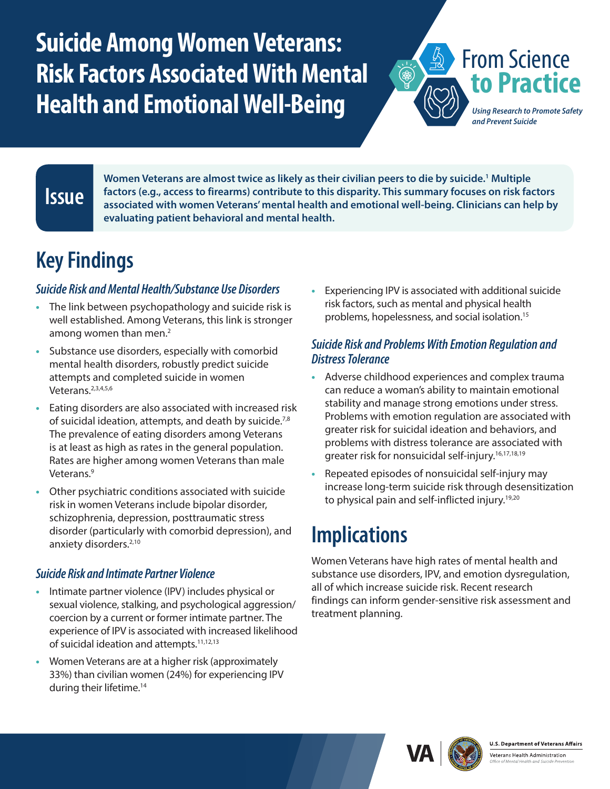# <span id="page-0-0"></span>**Suicide Among Women Veterans: Risk Factors Associated With Mental Health and Emotional Well-Being**

From Science **to Practice**

*Using Research to Promote Safety and Prevent Suicide*

### **Issue**

**Women Veterans are almost twice as likely as their civilian peers to die by suicide[.1](#page-1-0) Multiple factors (e.g., access to firearms) contribute to this disparity. This summary focuses on risk factors associated with women Veterans' mental health and emotional well-being. Clinicians can help by evaluating patient behavioral and mental health.**

## **Key Findings**

#### *Suicide Risk and Mental Health/Substance Use Disorders*

- **•** The link between psychopathology and suicide risk is well established. Among Veterans, this link is stronger among women than men[.2](#page-1-0)
- **•** Substance use disorders, especially with comorbid mental health disorders, robustly predict suicide attempts and completed suicide in women Veterans.<sup>2,3,4,5,6</sup>
- **•** Eating disorders are also associated with increased risk of suicidal ideation, attempts, and death by suicide.<sup>7,8</sup> The prevalence of eating disorders among Veterans is at least as high as rates in the general population. Rates are higher among women Veterans than male Veterans[.9](#page-1-0)
- **•** Other psychiatric conditions associated with suicide risk in women Veterans include bipolar disorder, schizophrenia, depression, posttraumatic stress disorder (particularly with comorbid depression), and anxiety disorders.<sup>[2,10](#page-1-0)</sup>

#### *Suicide Risk and Intimate Partner Violence*

- **•** Intimate partner violence (IPV) includes physical or sexual violence, stalking, and psychological aggression/ coercion by a current or former intimate partner. The experience of IPV is associated with increased likelihood of suicidal ideation and attempts.<sup>11,12,13</sup>
- **•** Women Veterans are at a higher risk (approximately 33%) than civilian women (24%) for experiencing IPV during their lifetime.<sup>[14](#page-1-0)</sup>

**•** Experiencing IPV is associated with additional suicide risk factors, such as mental and physical health problems, hopelessness, and social isolation.[15](#page-1-0)

 $\overleftrightarrow{\textcircled{\tiny{A}}}$ 

#### *Suicide Risk and Problems With Emotion Regulation and Distress Tolerance*

- **•** Adverse childhood experiences and complex trauma can reduce a woman's ability to maintain emotional stability and manage strong emotions under stress. Problems with emotion regulation are associated with greater risk for suicidal ideation and behaviors, and problems with distress tolerance are associated with greater risk for nonsuicidal self-injury.<sup>16,17,18,19</sup>
- **•** Repeated episodes of nonsuicidal self-injury may increase long-term suicide risk through desensitization to physical pain and self-inflicted injury.<sup>19,20</sup>

### **Implications**

Women Veterans have high rates of mental health and substance use disorders, IPV, and emotion dysregulation, all of which increase suicide risk. Recent research findings can inform gender-sensitive risk assessment and treatment planning.





Veterans Health Administration